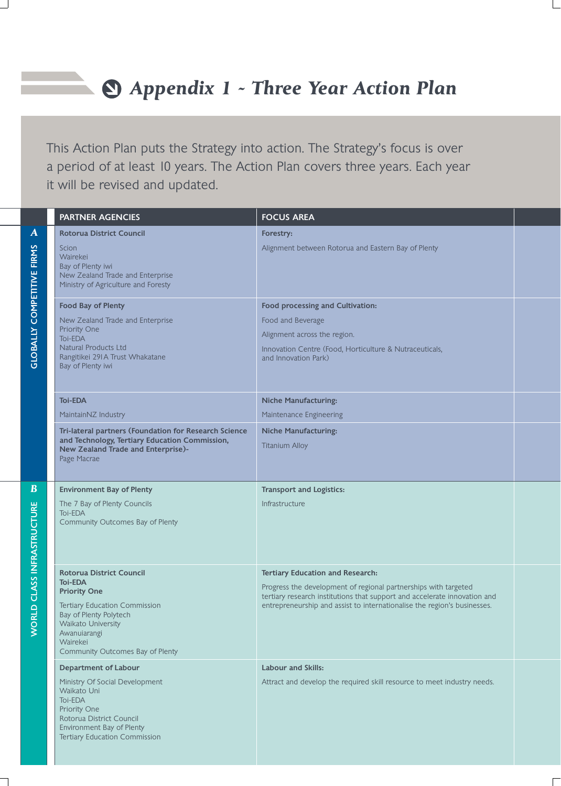## *Appendix 1 - Three Year Action Plan*

This Action Plan puts the Strategy into action. The Strategy's focus is over a period of at least 10 years. The Action Plan covers three years. Each year it will be revised and updated.

 $\mathcal{L}$ 

|                                                            | <b>PARTNER AGENCIES</b>                                                                                                                                                                                            | <b>FOCUS AREA</b>                                                                                                                                                                                                                                                   |  |
|------------------------------------------------------------|--------------------------------------------------------------------------------------------------------------------------------------------------------------------------------------------------------------------|---------------------------------------------------------------------------------------------------------------------------------------------------------------------------------------------------------------------------------------------------------------------|--|
| $\boldsymbol{A}$<br><b>COMPETITIVE FIRMS</b>               | <b>Rotorua District Council</b><br>Scion<br>Wairekei<br>Bay of Plenty iwi<br>New Zealand Trade and Enterprise<br>Ministry of Agriculture and Foresty                                                               | Forestry:<br>Alignment between Rotorua and Eastern Bay of Plenty                                                                                                                                                                                                    |  |
| <b>GLOBALLY</b>                                            | <b>Food Bay of Plenty</b><br>New Zealand Trade and Enterprise<br>Priority One<br>Toi-EDA<br><b>Natural Products Ltd</b><br>Rangitikei 291 A Trust Whakatane<br>Bay of Plenty iwi                                   | Food processing and Cultivation:<br>Food and Beverage<br>Alignment across the region.<br>Innovation Centre (Food, Horticulture & Nutraceuticals,<br>and Innovation Park)                                                                                            |  |
|                                                            | <b>Toi-EDA</b><br>MaintainNZ Industry                                                                                                                                                                              | <b>Niche Manufacturing:</b><br>Maintenance Engineering                                                                                                                                                                                                              |  |
|                                                            | Tri-lateral partners (Foundation for Research Science<br>and Technology, Tertiary Education Commission,<br>New Zealand Trade and Enterprise)-<br>Page Macrae                                                       | <b>Niche Manufacturing:</b><br><b>Titanium Alloy</b>                                                                                                                                                                                                                |  |
| $\bf{B}$<br><b>CLASS INFRASTRUCTURE</b><br><b>RLD</b><br>Š | <b>Environment Bay of Plenty</b><br>The 7 Bay of Plenty Councils<br><b>Toi-EDA</b><br>Community Outcomes Bay of Plenty                                                                                             | <b>Transport and Logistics:</b><br>Infrastructure                                                                                                                                                                                                                   |  |
|                                                            | Rotorua District Council<br><b>Toi-EDA</b><br><b>Priority One</b><br>Tertiary Education Commission<br>Bay of Plenty Polytech<br>Waikato University<br>Awanuiarangi<br>Wairekei<br>Community Outcomes Bay of Plenty | <b>Tertiary Education and Research:</b><br>Progress the development of regional partnerships with targeted<br>tertiary research institutions that support and accelerate innovation and<br>entrepreneurship and assist to internationalise the region's businesses. |  |
|                                                            | <b>Department of Labour</b><br>Ministry Of Social Development<br>Waikato Uni<br><b>Toi-EDA</b><br>Priority One<br>Rotorua District Council<br>Environment Bay of Plenty<br>Tertiary Education Commission           | <b>Labour and Skills:</b><br>Attract and develop the required skill resource to meet industry needs.                                                                                                                                                                |  |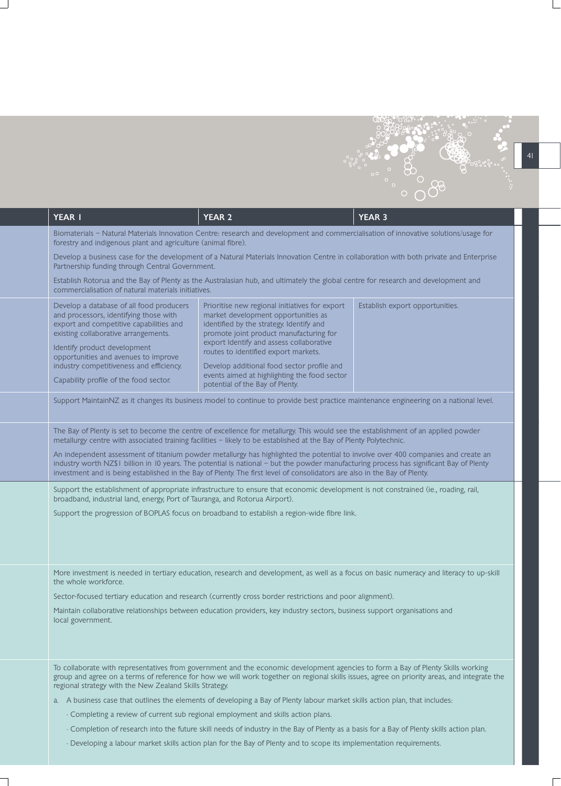

|                                                                                   | <b>YEAR I</b>                                                                                                                                                                                                                                                                                                                                                                                                                                                                                                                                                                                                                                                                                                                                                                                                                                                                                                                                                                              | <b>YEAR 2</b>                                                                                                                                                                                                                                                                                                                                                                                     | <b>YEAR 3</b>                   |  |
|-----------------------------------------------------------------------------------|--------------------------------------------------------------------------------------------------------------------------------------------------------------------------------------------------------------------------------------------------------------------------------------------------------------------------------------------------------------------------------------------------------------------------------------------------------------------------------------------------------------------------------------------------------------------------------------------------------------------------------------------------------------------------------------------------------------------------------------------------------------------------------------------------------------------------------------------------------------------------------------------------------------------------------------------------------------------------------------------|---------------------------------------------------------------------------------------------------------------------------------------------------------------------------------------------------------------------------------------------------------------------------------------------------------------------------------------------------------------------------------------------------|---------------------------------|--|
|                                                                                   | Biomaterials - Natural Materials Innovation Centre: research and development and commercialisation of innovative solutions/usage for<br>forestry and indigenous plant and agriculture (animal fibre).<br>Develop a business case for the development of a Natural Materials Innovation Centre in collaboration with both private and Enterprise<br>Partnership funding through Central Government.                                                                                                                                                                                                                                                                                                                                                                                                                                                                                                                                                                                         |                                                                                                                                                                                                                                                                                                                                                                                                   |                                 |  |
|                                                                                   |                                                                                                                                                                                                                                                                                                                                                                                                                                                                                                                                                                                                                                                                                                                                                                                                                                                                                                                                                                                            |                                                                                                                                                                                                                                                                                                                                                                                                   |                                 |  |
|                                                                                   | Establish Rotorua and the Bay of Plenty as the Australasian hub, and ultimately the global centre for research and development and<br>commercialisation of natural materials initiatives.                                                                                                                                                                                                                                                                                                                                                                                                                                                                                                                                                                                                                                                                                                                                                                                                  |                                                                                                                                                                                                                                                                                                                                                                                                   |                                 |  |
|                                                                                   | Develop a database of all food producers<br>and processors, identifying those with<br>export and competitive capabilities and<br>existing collaborative arrangements.<br>Identify product development<br>opportunities and avenues to improve<br>industry competitiveness and efficiency.<br>Capability profile of the food sector.                                                                                                                                                                                                                                                                                                                                                                                                                                                                                                                                                                                                                                                        | Prioritise new regional initiatives for export<br>market development opportunities as<br>identified by the strategy. Identify and<br>promote joint product manufacturing for<br>export Identify and assess collaborative<br>routes to identified export markets.<br>Develop additional food sector profile and<br>events aimed at highlighting the food sector<br>potential of the Bay of Plenty. | Establish export opportunities. |  |
|                                                                                   | Support MaintainNZ as it changes its business model to continue to provide best practice maintenance engineering on a national level.                                                                                                                                                                                                                                                                                                                                                                                                                                                                                                                                                                                                                                                                                                                                                                                                                                                      |                                                                                                                                                                                                                                                                                                                                                                                                   |                                 |  |
|                                                                                   | The Bay of Plenty is set to become the centre of excellence for metallurgy. This would see the establishment of an applied powder<br>metallurgy centre with associated training facilities - likely to be established at the Bay of Plenty Polytechnic.<br>An independent assessment of titanium powder metallurgy has highlighted the potential to involve over 400 companies and create an<br>industry worth NZ\$1 billion in 10 years. The potential is national - but the powder manufacturing process has significant Bay of Plenty<br>investment and is being established in the Bay of Plenty. The first level of consolidators are also in the Bay of Plenty.<br>Support the establishment of appropriate infrastructure to ensure that economic development is not constrained (ie., roading, rail,<br>broadband, industrial land, energy, Port of Tauranga, and Rotorua Airport).<br>Support the progression of BOPLAS focus on broadband to establish a region-wide fibre link. |                                                                                                                                                                                                                                                                                                                                                                                                   |                                 |  |
|                                                                                   |                                                                                                                                                                                                                                                                                                                                                                                                                                                                                                                                                                                                                                                                                                                                                                                                                                                                                                                                                                                            |                                                                                                                                                                                                                                                                                                                                                                                                   |                                 |  |
|                                                                                   | the whole workforce.<br>local government.                                                                                                                                                                                                                                                                                                                                                                                                                                                                                                                                                                                                                                                                                                                                                                                                                                                                                                                                                  | More investment is needed in tertiary education, research and development, as well as a focus on basic numeracy and literacy to up-skill<br>Sector-focused tertiary education and research (currently cross border restrictions and poor alignment).<br>Maintain collaborative relationships between education providers, key industry sectors, business support organisations and                |                                 |  |
|                                                                                   | regional strategy with the New Zealand Skills Strategy.                                                                                                                                                                                                                                                                                                                                                                                                                                                                                                                                                                                                                                                                                                                                                                                                                                                                                                                                    | To collaborate with representatives from government and the economic development agencies to form a Bay of Plenty Skills working<br>group and agree on a terms of reference for how we will work together on regional skills issues, agree on priority areas, and integrate the                                                                                                                   |                                 |  |
|                                                                                   |                                                                                                                                                                                                                                                                                                                                                                                                                                                                                                                                                                                                                                                                                                                                                                                                                                                                                                                                                                                            | a. A business case that outlines the elements of developing a Bay of Plenty labour market skills action plan, that includes:                                                                                                                                                                                                                                                                      |                                 |  |
| · Completing a review of current sub regional employment and skills action plans. |                                                                                                                                                                                                                                                                                                                                                                                                                                                                                                                                                                                                                                                                                                                                                                                                                                                                                                                                                                                            |                                                                                                                                                                                                                                                                                                                                                                                                   |                                 |  |
|                                                                                   |                                                                                                                                                                                                                                                                                                                                                                                                                                                                                                                                                                                                                                                                                                                                                                                                                                                                                                                                                                                            | · Completion of research into the future skill needs of industry in the Bay of Plenty as a basis for a Bay of Plenty skills action plan.                                                                                                                                                                                                                                                          |                                 |  |
|                                                                                   |                                                                                                                                                                                                                                                                                                                                                                                                                                                                                                                                                                                                                                                                                                                                                                                                                                                                                                                                                                                            | · Developing a labour market skills action plan for the Bay of Plenty and to scope its implementation requirements.                                                                                                                                                                                                                                                                               |                                 |  |

 $\overline{\phantom{0}}$ 

 $\mathcal{L}_{\mathcal{A}}$ 

 $\Box$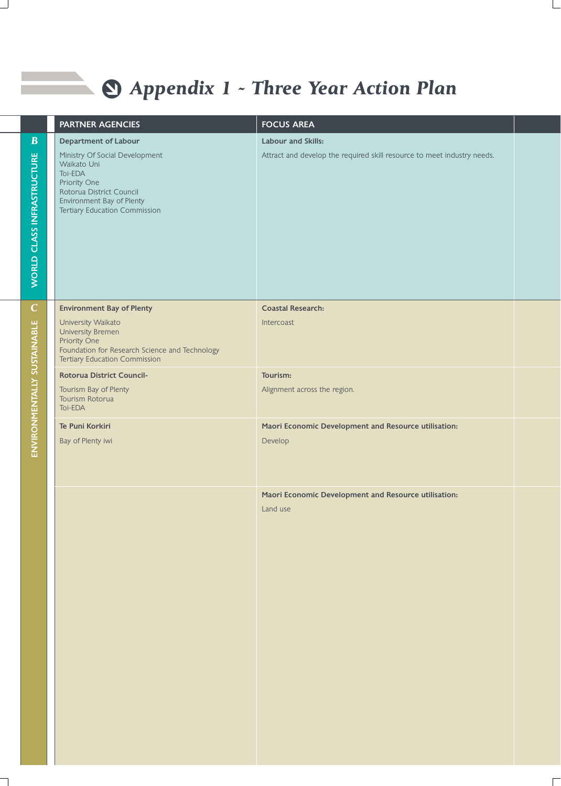## *Appendix 1 - Three Year Action Plan*

 $\Box$ 

 $\overline{\phantom{a}}$ 

|                             | <b>PARTNER AGENCIES</b>                                                                                                                                            | <b>FOCUS AREA</b>                                                       |  |
|-----------------------------|--------------------------------------------------------------------------------------------------------------------------------------------------------------------|-------------------------------------------------------------------------|--|
| $\boldsymbol{B}$            | <b>Department of Labour</b>                                                                                                                                        | Labour and Skills:                                                      |  |
| WORLD CLASS INFRASTRUCTURE  | Ministry Of Social Development<br>Waikato Uni<br>Toi-EDA<br>Priority One<br>Rotorua District Council<br>Environment Bay of Plenty<br>Tertiary Education Commission | Attract and develop the required skill resource to meet industry needs. |  |
| $\mathbf C$                 | <b>Environment Bay of Plenty</b>                                                                                                                                   | <b>Coastal Research:</b>                                                |  |
| ENVIRONMENTALLY SUSTAINABLE | University Waikato<br>University Bremen<br>Priority One<br>Foundation for Research Science and Technology<br><b>Tertiary Education Commission</b>                  | Intercoast                                                              |  |
|                             | Rotorua District Council-                                                                                                                                          | Tourism:                                                                |  |
|                             | Tourism Bay of Plenty<br>Tourism Rotorua<br>Toi-EDA                                                                                                                | Alignment across the region.                                            |  |
|                             | Te Puni Korkiri                                                                                                                                                    | Maori Economic Development and Resource utilisation:                    |  |
|                             | Bay of Plenty iwi                                                                                                                                                  | Develop                                                                 |  |
|                             |                                                                                                                                                                    | Maori Economic Development and Resource utilisation:                    |  |
|                             |                                                                                                                                                                    | Land use                                                                |  |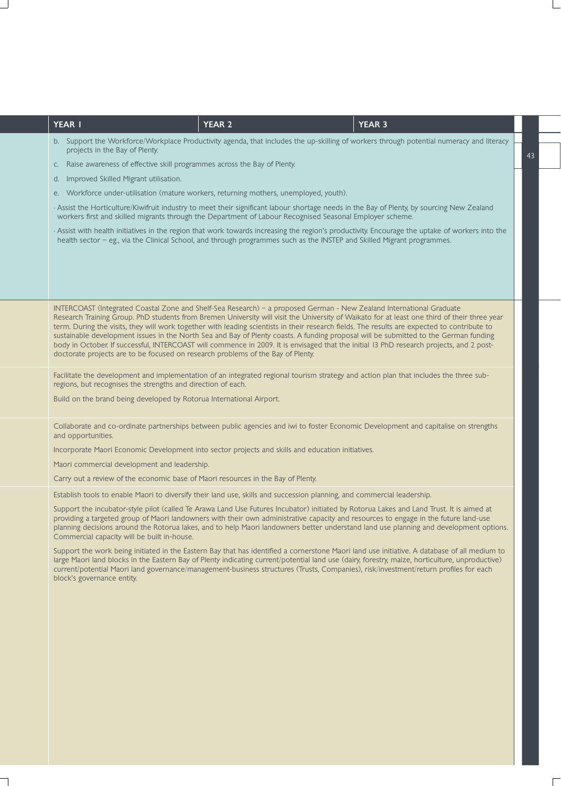| <b>YEAR I</b><br><b>YEAR 2</b><br><b>YEAR 3</b>                                                                                                                                                                                                                                                                                                                                                                                                                                                                                                                                                                                                                                                                                                                                             |    |
|---------------------------------------------------------------------------------------------------------------------------------------------------------------------------------------------------------------------------------------------------------------------------------------------------------------------------------------------------------------------------------------------------------------------------------------------------------------------------------------------------------------------------------------------------------------------------------------------------------------------------------------------------------------------------------------------------------------------------------------------------------------------------------------------|----|
| b. Support the Workforce/Workplace Productivity agenda, that includes the up-skilling of workers through potential numeracy and literacy<br>projects in the Bay of Plenty.                                                                                                                                                                                                                                                                                                                                                                                                                                                                                                                                                                                                                  | 43 |
| Raise awareness of effective skill programmes across the Bay of Plenty.<br>C.                                                                                                                                                                                                                                                                                                                                                                                                                                                                                                                                                                                                                                                                                                               |    |
| Improved Skilled Migrant utilisation.<br>d.                                                                                                                                                                                                                                                                                                                                                                                                                                                                                                                                                                                                                                                                                                                                                 |    |
| Workforce under-utilisation (mature workers, returning mothers, unemployed, youth).<br>е.                                                                                                                                                                                                                                                                                                                                                                                                                                                                                                                                                                                                                                                                                                   |    |
| Assist the Horticulture/Kiwifruit industry to meet their significant labour shortage needs in the Bay of Plenty, by sourcing New Zealand<br>workers first and skilled migrants through the Department of Labour Recognised Seasonal Employer scheme.                                                                                                                                                                                                                                                                                                                                                                                                                                                                                                                                        |    |
| Assist with health initiatives in the region that work towards increasing the region's productivity. Encourage the uptake of workers into the<br>health sector - eg., via the Clinical School, and through programmes such as the INSTEP and Skilled Migrant programmes.                                                                                                                                                                                                                                                                                                                                                                                                                                                                                                                    |    |
|                                                                                                                                                                                                                                                                                                                                                                                                                                                                                                                                                                                                                                                                                                                                                                                             |    |
| INTERCOAST (Integrated Coastal Zone and Shelf-Sea Research) - a proposed German - New Zealand International Graduate<br>Research Training Group. PhD students from Bremen University will visit the University of Waikato for at least one third of their three year<br>term. During the visits, they will work together with leading scientists in their research fields. The results are expected to contribute to<br>sustainable development issues in the North Sea and Bay of Plenty coasts. A funding proposal will be submitted to the German funding<br>body in October. If successful, INTERCOAST will commence in 2009. It is envisaged that the initial 13 PhD research projects, and 2 post-<br>doctorate projects are to be focused on research problems of the Bay of Plenty. |    |
| Facilitate the development and implementation of an integrated regional tourism strategy and action plan that includes the three sub-<br>regions, but recognises the strengths and direction of each.                                                                                                                                                                                                                                                                                                                                                                                                                                                                                                                                                                                       |    |
| Build on the brand being developed by Rotorua International Airport.                                                                                                                                                                                                                                                                                                                                                                                                                                                                                                                                                                                                                                                                                                                        |    |
| Collaborate and co-ordinate partnerships between public agencies and iwi to foster Economic Development and capitalise on strengths<br>and opportunities.                                                                                                                                                                                                                                                                                                                                                                                                                                                                                                                                                                                                                                   |    |
| Incorporate Maori Economic Development into sector projects and skills and education initiatives.                                                                                                                                                                                                                                                                                                                                                                                                                                                                                                                                                                                                                                                                                           |    |
| Maori commercial development and leadership.                                                                                                                                                                                                                                                                                                                                                                                                                                                                                                                                                                                                                                                                                                                                                |    |
| Carry out a review of the economic base of Maori resources in the Bay of Plenty.                                                                                                                                                                                                                                                                                                                                                                                                                                                                                                                                                                                                                                                                                                            |    |
| Establish tools to enable Maori to diversify their land use, skills and succession planning, and commercial leadership.                                                                                                                                                                                                                                                                                                                                                                                                                                                                                                                                                                                                                                                                     |    |
| Support the incubator-style pilot (called Te Arawa Land Use Futures Incubator) initiated by Rotorua Lakes and Land Trust. It is aimed at<br>providing a targeted group of Maori landowners with their own administrative capacity and resources to engage in the future land-use<br>planning decisions around the Rotorua lakes, and to help Maori landowners better understand land use planning and development options.<br>Commercial capacity will be built in-house.                                                                                                                                                                                                                                                                                                                   |    |
| Support the work being initiated in the Eastern Bay that has identified a cornerstone Maori land use initiative. A database of all medium to<br>large Maori land blocks in the Eastern Bay of Plenty indicating current/potential land use (dairy, forestry, maize, horticulture, unproductive)<br>current/potential Maori land governance/management-business structures (Trusts, Companies), risk/investment/return profiles for each<br>block's governance entity.                                                                                                                                                                                                                                                                                                                       |    |
|                                                                                                                                                                                                                                                                                                                                                                                                                                                                                                                                                                                                                                                                                                                                                                                             |    |
|                                                                                                                                                                                                                                                                                                                                                                                                                                                                                                                                                                                                                                                                                                                                                                                             |    |
|                                                                                                                                                                                                                                                                                                                                                                                                                                                                                                                                                                                                                                                                                                                                                                                             |    |
|                                                                                                                                                                                                                                                                                                                                                                                                                                                                                                                                                                                                                                                                                                                                                                                             |    |
|                                                                                                                                                                                                                                                                                                                                                                                                                                                                                                                                                                                                                                                                                                                                                                                             |    |
|                                                                                                                                                                                                                                                                                                                                                                                                                                                                                                                                                                                                                                                                                                                                                                                             |    |
|                                                                                                                                                                                                                                                                                                                                                                                                                                                                                                                                                                                                                                                                                                                                                                                             |    |
|                                                                                                                                                                                                                                                                                                                                                                                                                                                                                                                                                                                                                                                                                                                                                                                             |    |
|                                                                                                                                                                                                                                                                                                                                                                                                                                                                                                                                                                                                                                                                                                                                                                                             |    |
|                                                                                                                                                                                                                                                                                                                                                                                                                                                                                                                                                                                                                                                                                                                                                                                             |    |

 $\overline{\phantom{0}}$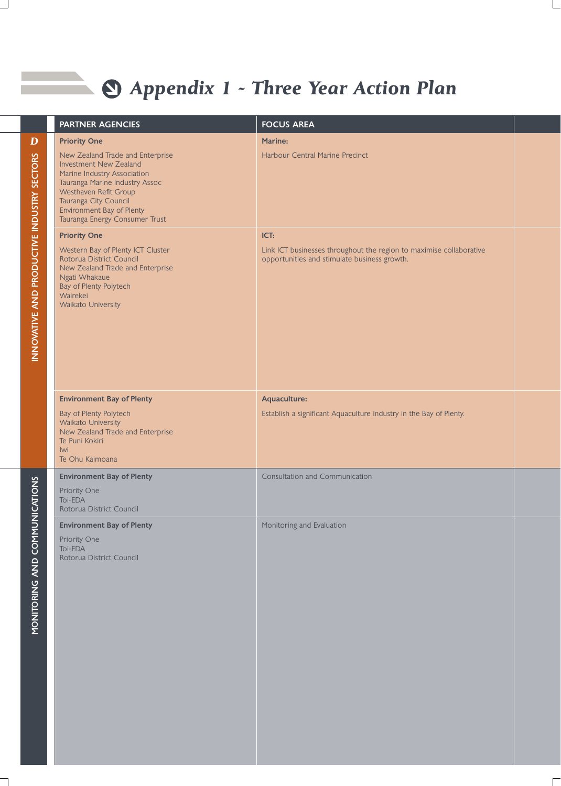## *Appendix 1 - Three Year Action Plan*

 $\Box$ 

ᄀ

|                                                   | <b>PARTNER AGENCIES</b>                                                                                                                                                                                                                                    | <b>FOCUS AREA</b>                                                                                                           |  |
|---------------------------------------------------|------------------------------------------------------------------------------------------------------------------------------------------------------------------------------------------------------------------------------------------------------------|-----------------------------------------------------------------------------------------------------------------------------|--|
| D                                                 | <b>Priority One</b>                                                                                                                                                                                                                                        | Marine:                                                                                                                     |  |
|                                                   | New Zealand Trade and Enterprise<br><b>Investment New Zealand</b><br>Marine Industry Association<br>Tauranga Marine Industry Assoc<br>Westhaven Refit Group<br>Tauranga City Council<br><b>Environment Bay of Plenty</b><br>Tauranga Energy Consumer Trust | Harbour Central Marine Precinct                                                                                             |  |
| <b>INNOVATIVE AND PRODUCTIVE INDUSTRY SECTORS</b> | <b>Priority One</b><br>Western Bay of Plenty ICT Cluster<br>Rotorua District Council<br>New Zealand Trade and Enterprise<br>Ngati Whakaue<br>Bay of Plenty Polytech<br>Wairekei<br>Waikato University                                                      | ICT:<br>Link ICT businesses throughout the region to maximise collaborative<br>opportunities and stimulate business growth. |  |
|                                                   | <b>Environment Bay of Plenty</b><br>Bay of Plenty Polytech<br>Waikato University<br>New Zealand Trade and Enterprise<br>Te Puni Kokiri<br>lwi<br>Te Ohu Kaimoana                                                                                           | Aquaculture:<br>Establish a significant Aquaculture industry in the Bay of Plenty.                                          |  |
|                                                   | <b>Environment Bay of Plenty</b><br>Priority One<br>Toi-EDA<br>Rotorua District Council                                                                                                                                                                    | <b>Consultation and Communication</b>                                                                                       |  |
| <b>MONITORING AND COMMUNICATIONS</b>              | <b>Environment Bay of Plenty</b><br>Priority One<br>Toi-EDA<br>Rotorua District Council                                                                                                                                                                    | Monitoring and Evaluation                                                                                                   |  |